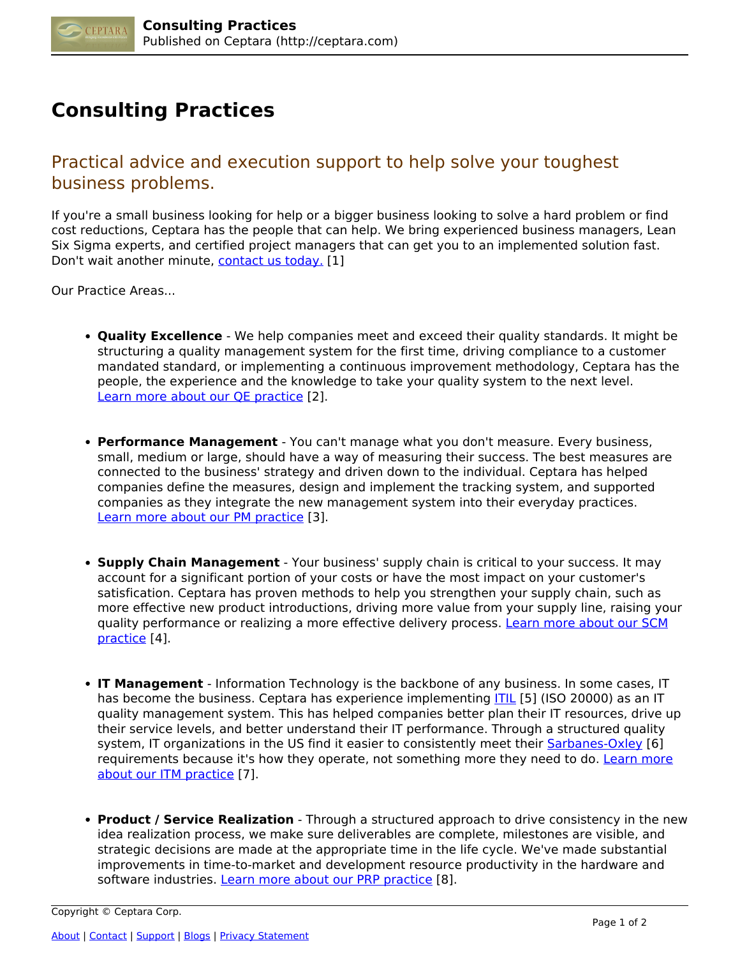

## **Consulting Practices**

Practical advice and execution support to help solve your toughest business problems.

If you're a small business looking for help or a bigger business looking to solve a hard problem or find cost reductions, Ceptara has the people that can help. We bring experienced business managers, Lean Six Sigma experts, and certified project managers that can get you to an implemented solution fast. Don't wait another minute, [contact us today.](http://ceptara.com/../contact) [1]

Our Practice Areas...

- **Quality Excellence** We help companies meet and exceed their quality standards. It might be structuring a quality management system for the first time, driving compliance to a customer mandated standard, or implementing a continuous improvement methodology, Ceptara has the people, the experience and the knowledge to take your quality system to the next level. [Learn more about our QE practice](http://ceptara.com/consulting/quality-excellence-systems) [2].
- **Performance Management** You can't manage what you don't measure. Every business, small, medium or large, should have a way of measuring their success. The best measures are connected to the business' strategy and driven down to the individual. Ceptara has helped companies define the measures, design and implement the tracking system, and supported companies as they integrate the new management system into their everyday practices. [Learn more about our PM practice](http://ceptara.com/consulting/performance-management) [3].
- **Supply Chain Management** Your business' supply chain is critical to your success. It may account for a significant portion of your costs or have the most impact on your customer's satisfication. Ceptara has proven methods to help you strengthen your supply chain, such as more effective new product introductions, driving more value from your supply line, raising your quality performance or realizing a more effective delivery process. [Learn more about our SCM](http://ceptara.com/consulting/supply-chain-management) [practice](http://ceptara.com/consulting/supply-chain-management) [4].
- **IT Management** Information Technology is the backbone of any business. In some cases, IT has become the business. Ceptara has experience implementing **ITIL** [5] (ISO 20000) as an IT quality management system. This has helped companies better plan their IT resources, drive up their service levels, and better understand their IT performance. Through a structured quality system, IT organizations in the US find it easier to consistently meet their [Sarbanes-Oxley](http://en.wikipedia.org/wiki/Sarbanes-Oxley_Act) [6] requirements because it's how they operate, not something more they need to do. [Learn more](http://ceptara.com/consulting/IT-quality-management) [about our ITM practice](http://ceptara.com/consulting/IT-quality-management) [7].
- **Product / Service Realization** Through a structured approach to drive consistency in the new idea realization process, we make sure deliverables are complete, milestones are visible, and strategic decisions are made at the appropriate time in the life cycle. We've made substantial improvements in time-to-market and development resource productivity in the hardware and software industries. [Learn more about our PRP practice](http://ceptara.com/consulting/product-service-realization) [8].